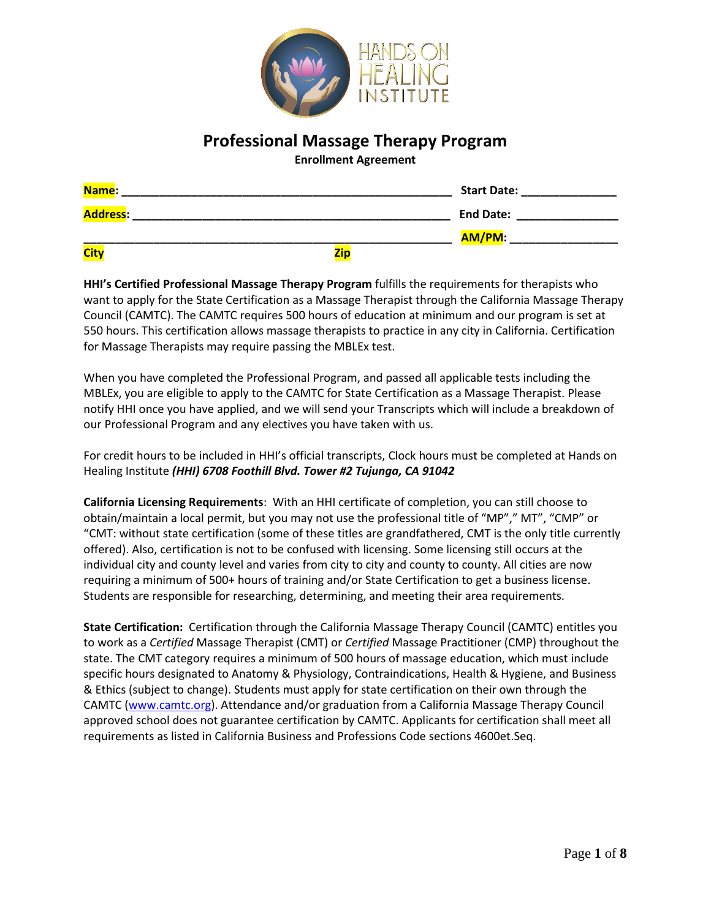

# **Professional Massage Therapy Program**

**Enrollment Agreement**

| Name:           | <b>Start Date:</b> |
|-----------------|--------------------|
| <b>Address:</b> | <b>End Date:</b>   |
|                 | AM/PM:             |
| <b>City</b>     | <b>Zip</b>         |

**HHI's Certified Professional Massage Therapy Program** fulfills the requirements for therapists who want to apply for the State Certification as a Massage Therapist through the California Massage Therapy Council (CAMTC). The CAMTC requires 500 hours of education at minimum and our program is set at 550 hours. This certification allows massage therapists to practice in any city in California. Certification for Massage Therapists may require passing the MBLEx test.

When you have completed the Professional Program, and passed all applicable tests including the MBLEx, you are eligible to apply to the CAMTC for State Certification as a Massage Therapist. Please notify HHI once you have applied, and we will send your Transcripts which will include a breakdown of our Professional Program and any electives you have taken with us.

For credit hours to be included in HHI's official transcripts, Clock hours must be completed at Hands on Healing Institute *(HHI) 6708 Foothill Blvd. Tower #2 Tujunga, CA 91042*

**California Licensing Requirements**: With an HHI certificate of completion, you can still choose to obtain/maintain a local permit, but you may not use the professional title of "MP"," MT", "CMP" or "CMT: without state certification (some of these titles are grandfathered, CMT is the only title currently offered). Also, certification is not to be confused with licensing. Some licensing still occurs at the individual city and county level and varies from city to city and county to county. All cities are now requiring a minimum of 500+ hours of training and/or State Certification to get a business license. Students are responsible for researching, determining, and meeting their area requirements.

**State Certification:** Certification through the California Massage Therapy Council (CAMTC) entitles you to work as a *Certified* Massage Therapist (CMT) or *Certified* Massage Practitioner (CMP) throughout the state. The CMT category requires a minimum of 500 hours of massage education, which must include specific hours designated to Anatomy & Physiology, Contraindications, Health & Hygiene, and Business & Ethics (subject to change). Students must apply for state certification on their own through the CAMTC [\(www.camtc.org\)](http://www.camtc.org/). Attendance and/or graduation from a California Massage Therapy Council approved school does not guarantee certification by CAMTC. Applicants for certification shall meet all requirements as listed in California Business and Professions Code sections 4600et.Seq.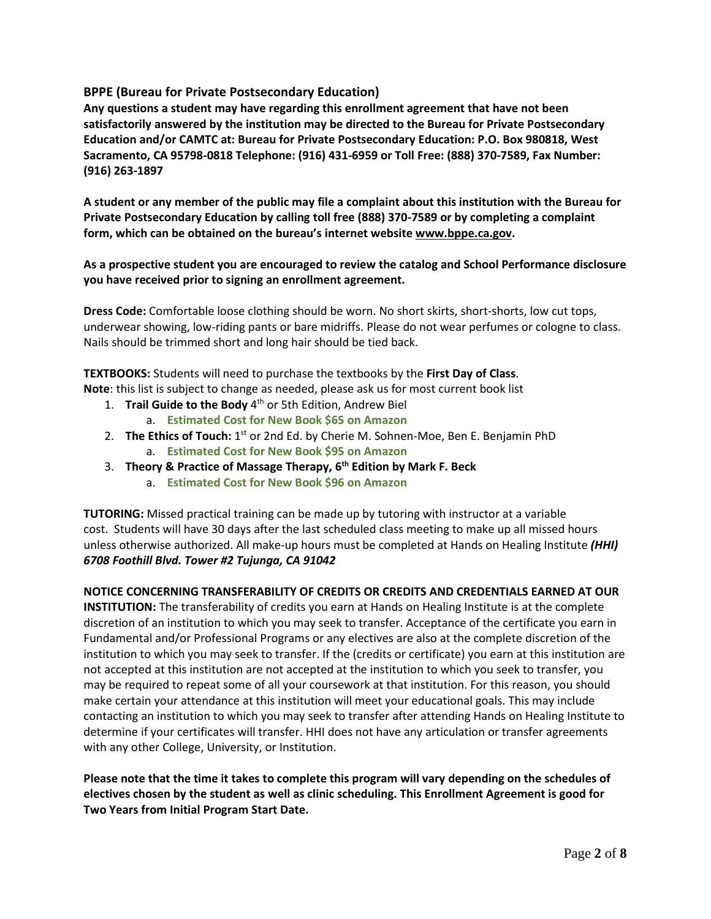## **BPPE (Bureau for Private Postsecondary Education)**

**Any questions a student may have regarding this enrollment agreement that have not been satisfactorily answered by the institution may be directed to the Bureau for Private Postsecondary Education and/or CAMTC at: Bureau for Private Postsecondary Education: P.O. Box 980818, West Sacramento, CA 95798-0818 Telephone: (916) 431-6959 or Toll Free: (888) 370-7589, Fax Number: (916) 263-1897**

A student or any member of the public may file a complaint about this institution with the Bureau for **Private Postsecondary Education by calling toll free (888) 370-7589 or by completing a complaint form, which can be obtained on the bureau's internet website [www.bppe.ca.gov.](http://www.bppe.ca.gov/)**

## **As a prospective student you are encouraged to review the catalog and School Performance disclosure you have received prior to signing an enrollment agreement.**

**Dress Code:** Comfortable loose clothing should be worn. No short skirts, short-shorts, low cut tops, underwear showing, low-riding pants or bare midriffs. Please do not wear perfumes or cologne to class. Nails should be trimmed short and long hair should be tied back.

**TEXTBOOKS:** Students will need to purchase the textbooks by the **First Day of Class**. **Note**: this list is subject to change as needed, please ask us for most current book list

- 1. **Trail Guide to the Body** 4 th or 5th Edition, Andrew Biel
	- a. **Estimated Cost for New Book \$65 on Amazon**
- 2. **The Ethics of Touch:** 1 st or 2nd Ed. by Cherie M. Sohnen-Moe, Ben E. Benjamin PhD a. **Estimated Cost for New Book \$95 on Amazon**
- 3. **Theory & Practice of Massage Therapy, 6 th Edition by Mark F. Beck**
	- a. **Estimated Cost for New Book \$96 on Amazon**

**TUTORING:** Missed practical training can be made up by tutoring with instructor at a variable cost. Students will have 30 days after the last scheduled class meeting to make up all missed hours unless otherwise authorized. All make-up hours must be completed at Hands on Healing Institute *(HHI) 6708 Foothill Blvd. Tower #2 Tujunga, CA 91042*

## **NOTICE CONCERNING TRANSFERABILITY OF CREDITS OR CREDITS AND CREDENTIALS EARNED AT OUR**

**INSTITUTION:** The transferability of credits you earn at Hands on Healing Institute is at the complete discretion of an institution to which you may seek to transfer. Acceptance of the certificate you earn in Fundamental and/or Professional Programs or any electives are also at the complete discretion of the institution to which you may seek to transfer. If the (credits or certificate) you earn at this institution are not accepted at this institution are not accepted at the institution to which you seek to transfer, you may be required to repeat some of all your coursework at that institution. For this reason, you should make certain your attendance at this institution will meet your educational goals. This may include contacting an institution to which you may seek to transfer after attending Hands on Healing Institute to determine if your certificates will transfer. HHI does not have any articulation or transfer agreements with any other College, University, or Institution.

Please note that the time it takes to complete this program will vary depending on the schedules of **electives chosen by the student as well as clinic scheduling. This Enrollment Agreement is good for Two Years from Initial Program Start Date.**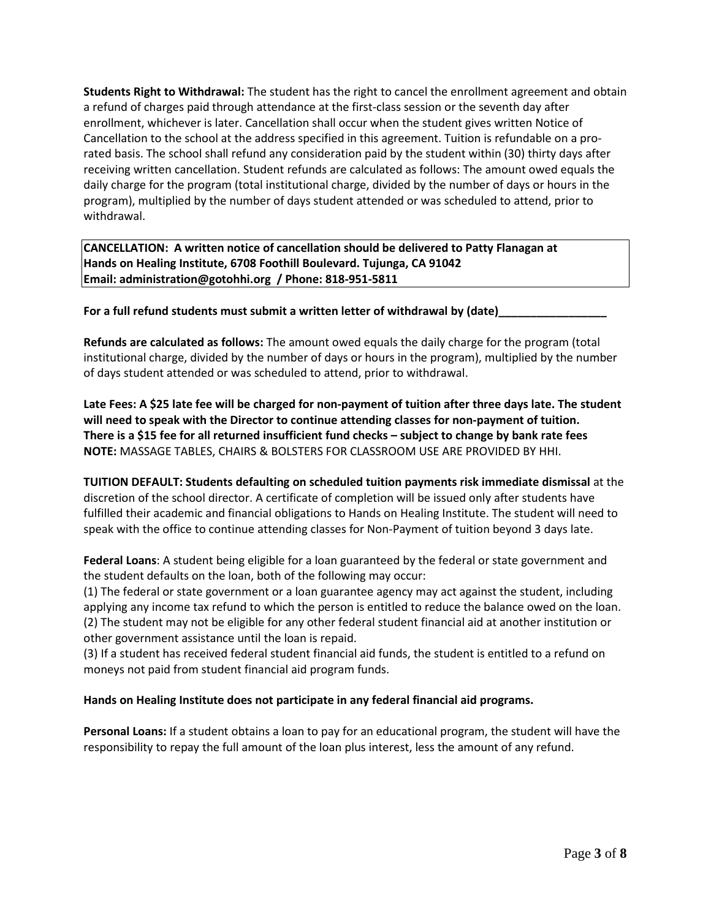**Students Right to Withdrawal:** The student has the right to cancel the enrollment agreement and obtain a refund of charges paid through attendance at the first-class session or the seventh day after enrollment, whichever is later. Cancellation shall occur when the student gives written Notice of Cancellation to the school at the address specified in this agreement. Tuition is refundable on a prorated basis. The school shall refund any consideration paid by the student within (30) thirty days after receiving written cancellation. Student refunds are calculated as follows: The amount owed equals the daily charge for the program (total institutional charge, divided by the number of days or hours in the program), multiplied by the number of days student attended or was scheduled to attend, prior to withdrawal.

**CANCELLATION: A written notice of cancellation should be delivered to Patty Flanagan at Hands on Healing Institute, 6708 Foothill Boulevard. Tujunga, CA 91042 Email: [administration@gotohhi.org](mailto:administration@gotohhi.org) / Phone: 818-951-5811**

**For a full refund students must submit a written letter of withdrawal by (date)\_\_\_\_\_\_\_\_\_\_\_\_\_\_\_\_\_**

**Refunds are calculated as follows:** The amount owed equals the daily charge for the program (total institutional charge, divided by the number of days or hours in the program), multiplied by the number of days student attended or was scheduled to attend, prior to withdrawal.

Late Fees: A \$25 late fee will be charged for non-payment of tuition after three days late. The student **will need to speak with the Director to continue attending classes for non-payment of tuition.** There is a \$15 fee for all returned insufficient fund checks - subject to change by bank rate fees **NOTE:** MASSAGE TABLES, CHAIRS & BOLSTERS FOR CLASSROOM USE ARE PROVIDED BY HHI.

**TUITION DEFAULT: Students defaulting on scheduled tuition payments risk immediate dismissal** at the discretion of the school director. A certificate of completion will be issued only after students have fulfilled their academic and financial obligations to Hands on Healing Institute. The student will need to speak with the office to continue attending classes for Non-Payment of tuition beyond 3 days late.

**Federal Loans**: A student being eligible for a loan guaranteed by the federal or state government and the student defaults on the loan, both of the following may occur:

(1) The federal or state government or a loan guarantee agency may act against the student, including applying any income tax refund to which the person is entitled to reduce the balance owed on the loan. (2) The student may not be eligible for any other federal student financial aid at another institution or other government assistance until the loan is repaid.

(3) If a student has received federal student financial aid funds, the student is entitled to a refund on moneys not paid from student financial aid program funds.

## **Hands on Healing Institute does not participate in any federal financial aid programs.**

**Personal Loans:** If a student obtains a loan to pay for an educational program, the student will have the responsibility to repay the full amount of the loan plus interest, less the amount of any refund.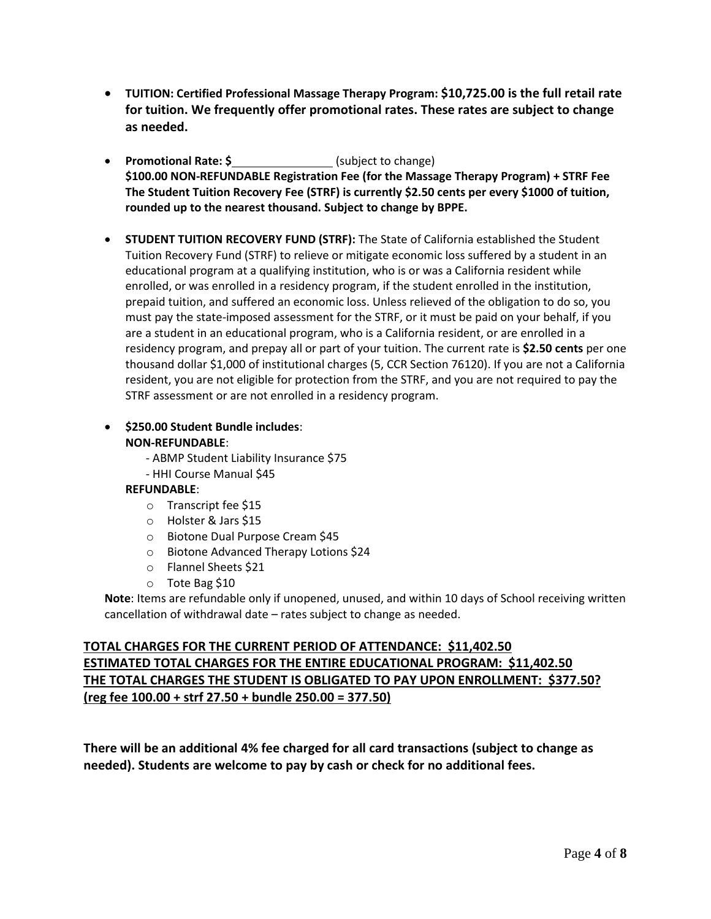- **TUITION: Certified Professional Massage Therapy Program: \$10,725.00 is the full retail rate for tuition. We frequently offer promotional rates. These rates are subject to change as needed.**
- **Promotional Rate: \$** (subject to change) **\$100.00 NON-REFUNDABLE Registration Fee (for the Massage Therapy Program) + STRF Fee The Student Tuition Recovery Fee (STRF) is currently \$2.50 cents per every \$1000 of tuition, rounded up to the nearest thousand. Subject to change by BPPE.**
- **STUDENT TUITION RECOVERY FUND (STRF):** The State of California established the Student Tuition Recovery Fund (STRF) to relieve or mitigate economic loss suffered by a student in an educational program at a qualifying institution, who is or was a California resident while enrolled, or was enrolled in a residency program, if the student enrolled in the institution, prepaid tuition, and suffered an economic loss. Unless relieved of the obligation to do so, you must pay the state-imposed assessment for the STRF, or it must be paid on your behalf, if you are a student in an educational program, who is a California resident, or are enrolled in a residency program, and prepay all or part of your tuition. The current rate is **\$2.50 cents** per one thousand dollar \$1,000 of institutional charges (5, CCR Section 76120). If you are not a California resident, you are not eligible for protection from the STRF, and you are not required to pay the STRF assessment or are not enrolled in a residency program.
- **\$250.00 Student Bundle includes**: **NON-REFUNDABLE**:
	- ABMP Student Liability Insurance \$75
	- HHI Course Manual \$45

## **REFUNDABLE**:

- o Transcript fee \$15
- o Holster & Jars \$15
- o Biotone Dual Purpose Cream \$45
- o Biotone Advanced Therapy Lotions \$24
- o Flannel Sheets \$21
- o Tote Bag \$10

**Note**: Items are refundable only if unopened, unused, and within 10 days of School receiving written cancellation of withdrawal date – rates subject to change as needed.

# **TOTAL CHARGES FOR THE CURRENT PERIOD OF ATTENDANCE: \$11,402.50 ESTIMATED TOTAL CHARGES FOR THE ENTIRE EDUCATIONAL PROGRAM: \$11,402.50 THE TOTAL CHARGES THE STUDENT IS OBLIGATED TO PAY UPON ENROLLMENT: \$377.50? (reg fee 100.00 + strf 27.50 + bundle 250.00 = 377.50)**

**There will be an additional 4% fee charged for all card transactions (subject to change as needed). Students are welcome to pay by cash or check for no additional fees.**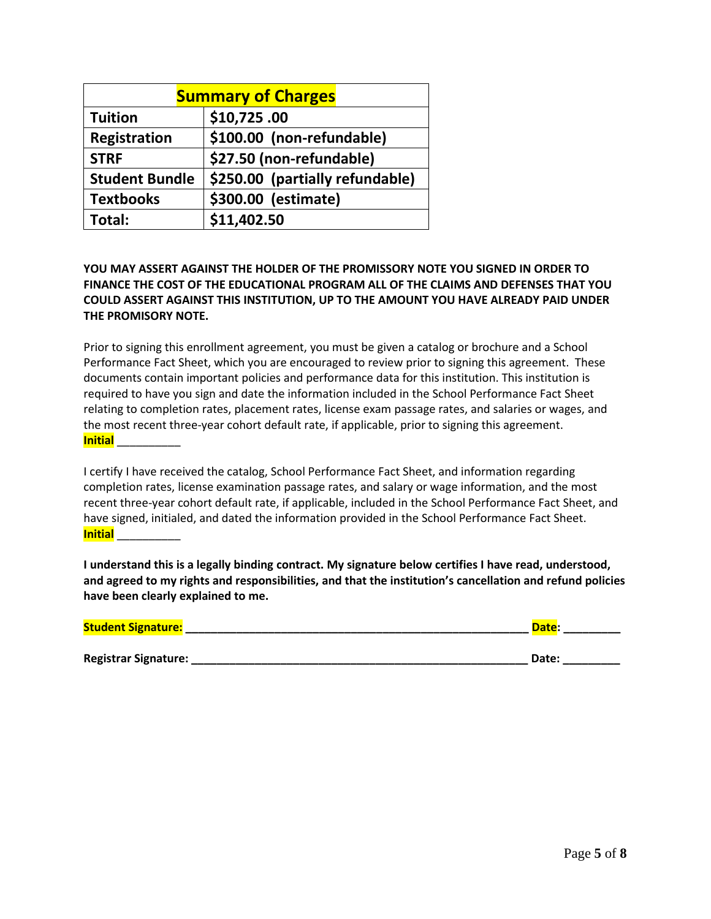| <b>Summary of Charges</b> |                                 |  |  |  |  |
|---------------------------|---------------------------------|--|--|--|--|
| <b>Tuition</b>            | \$10,725.00                     |  |  |  |  |
| Registration              | \$100.00 (non-refundable)       |  |  |  |  |
| <b>STRF</b>               | \$27.50 (non-refundable)        |  |  |  |  |
| <b>Student Bundle</b>     | \$250.00 (partially refundable) |  |  |  |  |
| <b>Textbooks</b>          | \$300.00 (estimate)             |  |  |  |  |
| Total:                    | \$11,402.50                     |  |  |  |  |

## **YOU MAY ASSERT AGAINST THE HOLDER OF THE PROMISSORY NOTE YOU SIGNED IN ORDER TO FINANCE THE COST OF THE EDUCATIONAL PROGRAM ALL OF THE CLAIMS AND DEFENSES THAT YOU COULD ASSERT AGAINST THIS INSTITUTION, UP TO THE AMOUNT YOU HAVE ALREADY PAID UNDER THE PROMISORY NOTE.**

Prior to signing this enrollment agreement, you must be given a catalog or brochure and a School Performance Fact Sheet, which you are encouraged to review prior to signing this agreement. These documents contain important policies and performance data for this institution. This institution is required to have you sign and date the information included in the School Performance Fact Sheet relating to completion rates, placement rates, license exam passage rates, and salaries or wages, and the most recent three-year cohort default rate, if applicable, prior to signing this agreement. **Initial** \_\_\_\_\_\_\_\_\_\_

I certify I have received the catalog, School Performance Fact Sheet, and information regarding completion rates, license examination passage rates, and salary or wage information, and the most recent three-year cohort default rate, if applicable, included in the School Performance Fact Sheet, and have signed, initialed, and dated the information provided in the School Performance Fact Sheet. **Initial** \_\_\_\_\_\_\_\_\_\_

**I understand this is a legally binding contract. My signature below certifies I have read, understood, and agreed to my rights and responsibilities, and that the institution's cancellation and refund policies have been clearly explained to me.**

| <b>Student Signature:</b>   | Date: |
|-----------------------------|-------|
|                             |       |
| <b>Registrar Signature:</b> | Date: |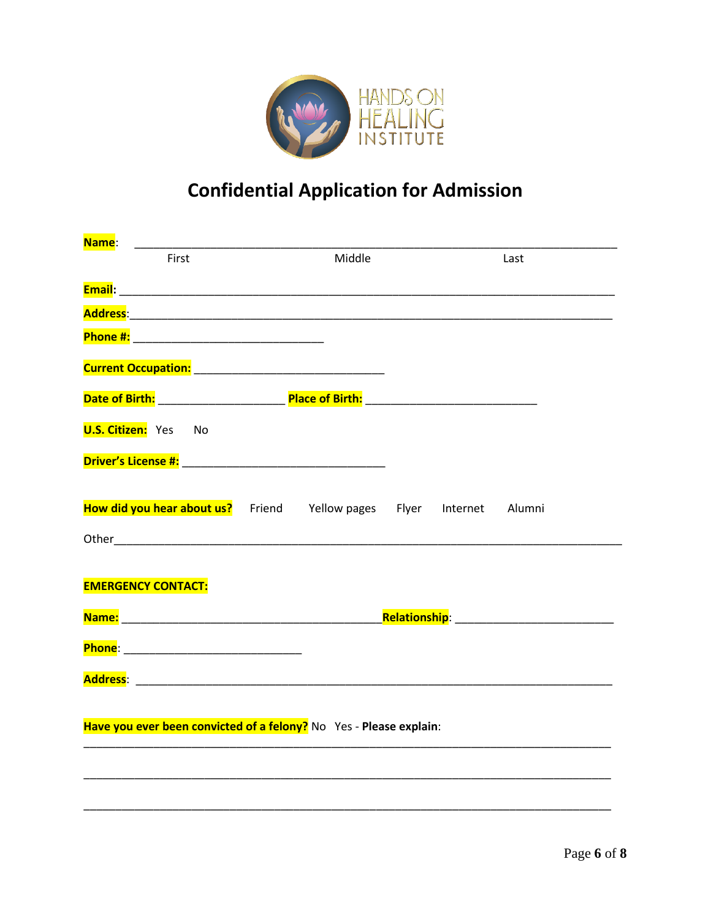

# **Confidential Application for Admission**

| Name:                                                                |  |        |  |  |      |  |
|----------------------------------------------------------------------|--|--------|--|--|------|--|
| First                                                                |  | Middle |  |  | Last |  |
|                                                                      |  |        |  |  |      |  |
|                                                                      |  |        |  |  |      |  |
|                                                                      |  |        |  |  |      |  |
|                                                                      |  |        |  |  |      |  |
|                                                                      |  |        |  |  |      |  |
| <b>U.S. Citizen:</b> Yes No                                          |  |        |  |  |      |  |
|                                                                      |  |        |  |  |      |  |
| How did you hear about us? Friend Yellow pages Flyer Internet Alumni |  |        |  |  |      |  |
|                                                                      |  |        |  |  |      |  |
| <b>EMERGENCY CONTACT:</b>                                            |  |        |  |  |      |  |
|                                                                      |  |        |  |  |      |  |
|                                                                      |  |        |  |  |      |  |
|                                                                      |  |        |  |  |      |  |
| Have you ever been convicted of a felony? No Yes - Please explain:   |  |        |  |  |      |  |
|                                                                      |  |        |  |  |      |  |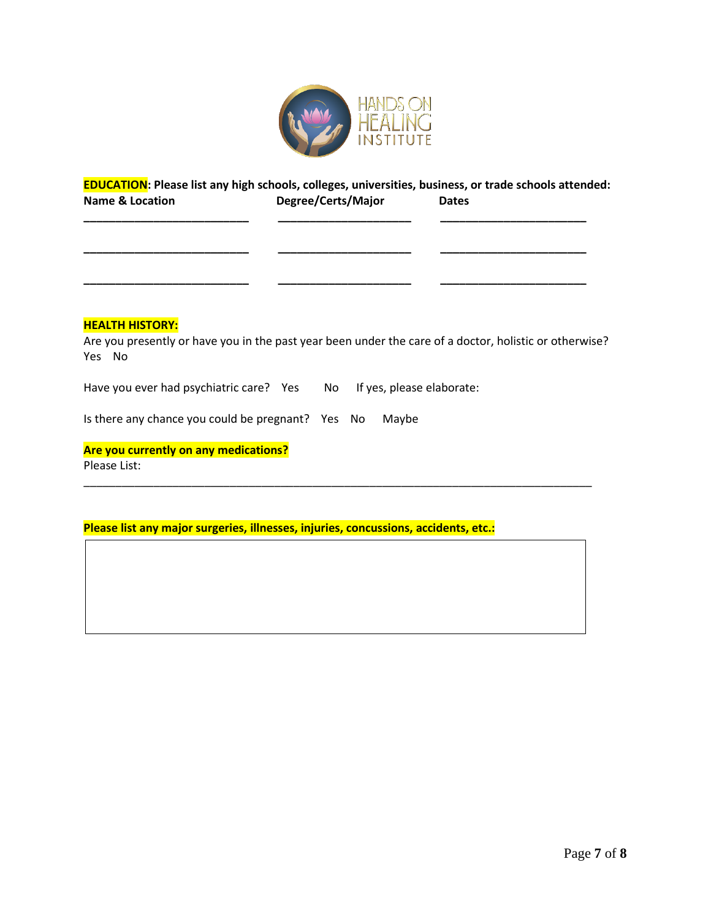

## **EDUCATION: Please list any high schools, colleges, universities, business, or trade schools attended: Name & Location Degree/Certs/Major Dates**

**\_\_\_\_\_\_\_\_\_\_\_\_\_\_\_\_\_\_\_\_\_\_\_\_\_\_ \_\_\_\_\_\_\_\_\_\_\_\_\_\_\_\_\_\_\_\_\_ \_\_\_\_\_\_\_\_\_\_\_\_\_\_\_\_\_\_\_\_\_\_\_**

**\_\_\_\_\_\_\_\_\_\_\_\_\_\_\_\_\_\_\_\_\_\_\_\_\_\_ \_\_\_\_\_\_\_\_\_\_\_\_\_\_\_\_\_\_\_\_\_ \_\_\_\_\_\_\_\_\_\_\_\_\_\_\_\_\_\_\_\_\_\_\_**

**\_\_\_\_\_\_\_\_\_\_\_\_\_\_\_\_\_\_\_\_\_\_\_\_\_\_ \_\_\_\_\_\_\_\_\_\_\_\_\_\_\_\_\_\_\_\_\_ \_\_\_\_\_\_\_\_\_\_\_\_\_\_\_\_\_\_\_\_\_\_\_** 

#### **HEALTH HISTORY:**

Are you presently or have you in the past year been under the care of a doctor, holistic or otherwise? Yes No

\_\_\_\_\_\_\_\_\_\_\_\_\_\_\_\_\_\_\_\_\_\_\_\_\_\_\_\_\_\_\_\_\_\_\_\_\_\_\_\_\_\_\_\_\_\_\_\_\_\_\_\_\_\_\_\_\_\_\_\_\_\_\_\_\_\_\_\_\_\_\_\_\_\_\_\_\_\_\_\_

Have you ever had psychiatric care? Yes No If yes, please elaborate:

Is there any chance you could be pregnant? Yes No Maybe

# **Are you currently on any medications?**

Please List:

**Please list any major surgeries, illnesses, injuries, concussions, accidents, etc.:**